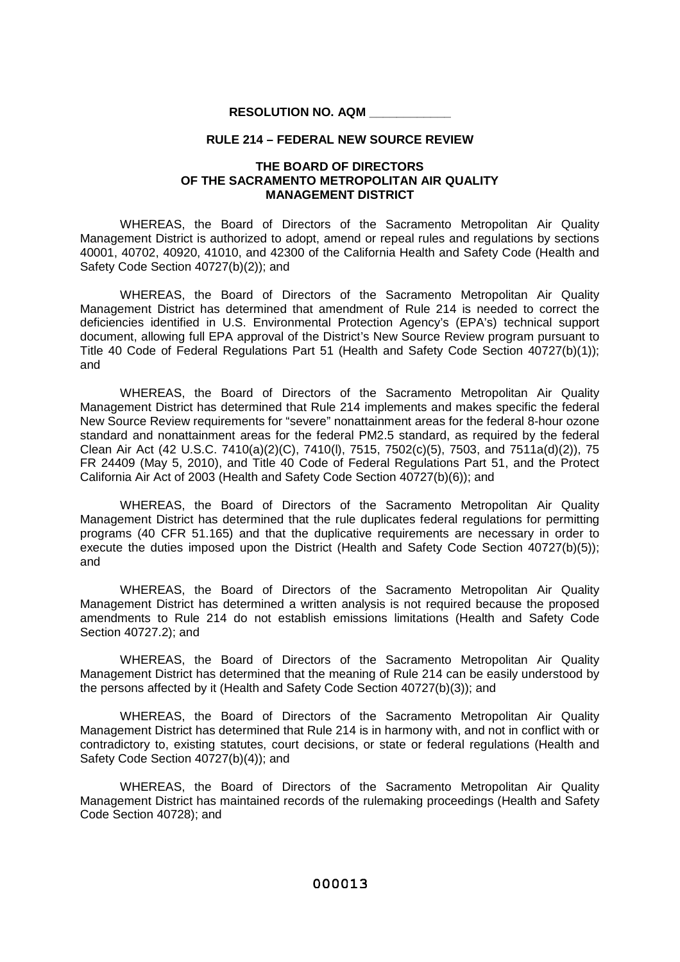## **RESOLUTION NO. AQM \_\_\_\_\_\_\_\_\_\_\_\_**

## **RULE 214 – FEDERAL NEW SOURCE REVIEW**

## **THE BOARD OF DIRECTORS OF THE SACRAMENTO METROPOLITAN AIR QUALITY MANAGEMENT DISTRICT**

WHEREAS, the Board of Directors of the Sacramento Metropolitan Air Quality Management District is authorized to adopt, amend or repeal rules and regulations by sections 40001, 40702, 40920, 41010, and 42300 of the California Health and Safety Code (Health and Safety Code Section 40727(b)(2)); and

WHEREAS, the Board of Directors of the Sacramento Metropolitan Air Quality Management District has determined that amendment of Rule 214 is needed to correct the deficiencies identified in U.S. Environmental Protection Agency's (EPA's) technical support document, allowing full EPA approval of the District's New Source Review program pursuant to Title 40 Code of Federal Regulations Part 51 (Health and Safety Code Section 40727(b)(1)); and

WHEREAS, the Board of Directors of the Sacramento Metropolitan Air Quality Management District has determined that Rule 214 implements and makes specific the federal New Source Review requirements for "severe" nonattainment areas for the federal 8-hour ozone standard and nonattainment areas for the federal PM2.5 standard, as required by the federal Clean Air Act (42 U.S.C. 7410(a)(2)(C), 7410(l), 7515, 7502(c)(5), 7503, and 7511a(d)(2)), 75 FR 24409 (May 5, 2010), and Title 40 Code of Federal Regulations Part 51, and the Protect California Air Act of 2003 (Health and Safety Code Section 40727(b)(6)); and

WHEREAS, the Board of Directors of the Sacramento Metropolitan Air Quality Management District has determined that the rule duplicates federal regulations for permitting programs (40 CFR 51.165) and that the duplicative requirements are necessary in order to execute the duties imposed upon the District (Health and Safety Code Section 40727(b)(5)); and

WHEREAS, the Board of Directors of the Sacramento Metropolitan Air Quality Management District has determined a written analysis is not required because the proposed amendments to Rule 214 do not establish emissions limitations (Health and Safety Code Section 40727.2); and

WHEREAS, the Board of Directors of the Sacramento Metropolitan Air Quality Management District has determined that the meaning of Rule 214 can be easily understood by the persons affected by it (Health and Safety Code Section 40727(b)(3)); and

WHEREAS, the Board of Directors of the Sacramento Metropolitan Air Quality Management District has determined that Rule 214 is in harmony with, and not in conflict with or contradictory to, existing statutes, court decisions, or state or federal regulations (Health and Safety Code Section 40727(b)(4)); and

WHEREAS, the Board of Directors of the Sacramento Metropolitan Air Quality Management District has maintained records of the rulemaking proceedings (Health and Safety Code Section 40728); and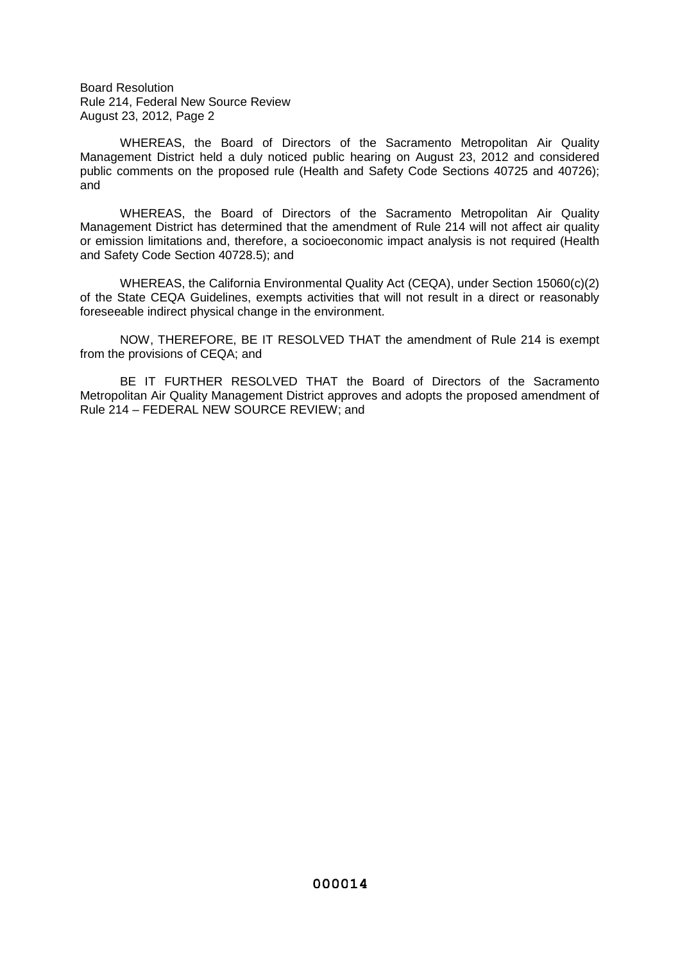Board Resolution Rule 214, Federal New Source Review August 23, 2012, Page 2

WHEREAS, the Board of Directors of the Sacramento Metropolitan Air Quality Management District held a duly noticed public hearing on August 23, 2012 and considered public comments on the proposed rule (Health and Safety Code Sections 40725 and 40726); and

WHEREAS, the Board of Directors of the Sacramento Metropolitan Air Quality Management District has determined that the amendment of Rule 214 will not affect air quality or emission limitations and, therefore, a socioeconomic impact analysis is not required (Health and Safety Code Section 40728.5); and

WHEREAS, the California Environmental Quality Act (CEQA), under Section 15060(c)(2) of the State CEQA Guidelines, exempts activities that will not result in a direct or reasonably foreseeable indirect physical change in the environment.

NOW, THEREFORE, BE IT RESOLVED THAT the amendment of Rule 214 is exempt from the provisions of CEQA; and

BE IT FURTHER RESOLVED THAT the Board of Directors of the Sacramento Metropolitan Air Quality Management District approves and adopts the proposed amendment of Rule 214 – FEDERAL NEW SOURCE REVIEW; and